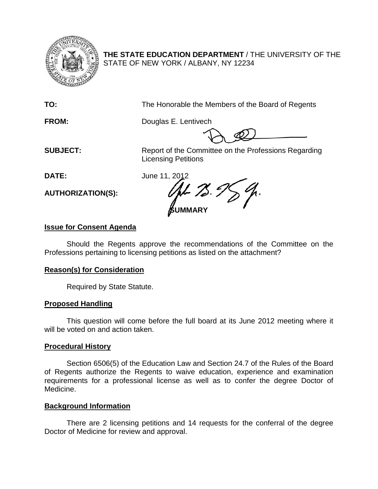

**THE STATE EDUCATION DEPARTMENT** / THE UNIVERSITY OF THE STATE OF NEW YORK / ALBANY, NY 12234

**TO:** The Honorable the Members of the Board of Regents

**FROM:** Douglas E. Lentivech

**SUBJECT:** Report of the Committee on the Professions Regarding Licensing Petitions

**DATE:** June 11, 2012

**AUTHORIZATION(S):**

 $-75.7$ **SUMMARY**

# **Issue for Consent Agenda**

Should the Regents approve the recommendations of the Committee on the Professions pertaining to licensing petitions as listed on the attachment?

# **Reason(s) for Consideration**

Required by State Statute.

# **Proposed Handling**

This question will come before the full board at its June 2012 meeting where it will be voted on and action taken.

# **Procedural History**

Section 6506(5) of the Education Law and Section 24.7 of the Rules of the Board of Regents authorize the Regents to waive education, experience and examination requirements for a professional license as well as to confer the degree Doctor of Medicine.

# **Background Information**

There are 2 licensing petitions and 14 requests for the conferral of the degree Doctor of Medicine for review and approval.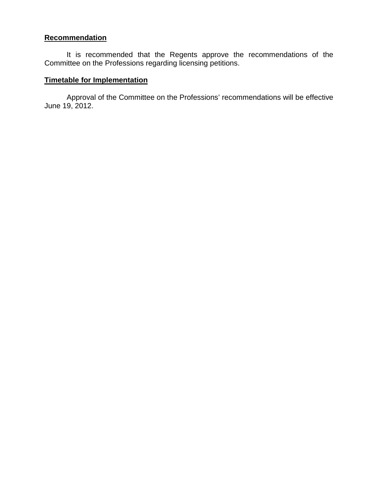## **Recommendation**

It is recommended that the Regents approve the recommendations of the Committee on the Professions regarding licensing petitions.

## **Timetable for Implementation**

Approval of the Committee on the Professions' recommendations will be effective June 19, 2012.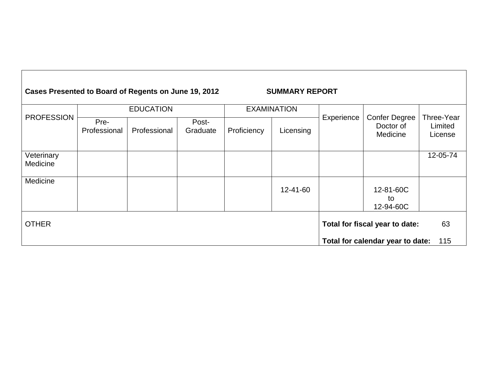#### **Cases Presented to Board of Regents on June 19, 2012 SUMMARY REPORT** PROFESSION EDUCATION EXAMINATION Experience | Confer Degree Doctor of Medicine Three-Year Limited License Pre-<br>Professional Professional Post-<br>Graduate Proficiency | Licensing **Veterinary** Medicine 12-05-74 **Medicine** 12-41-60 | 12-81-60C to 12-94-60C OTHER **Total for fiscal year to date:** 63 **Total for calendar year to date:** 115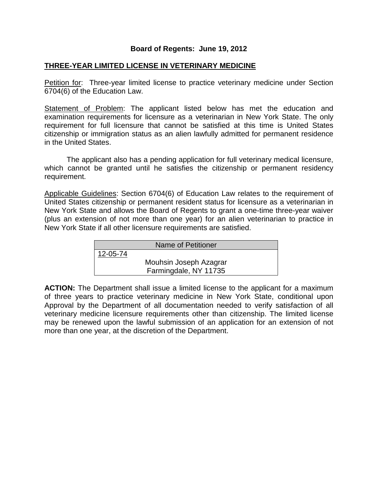## **Board of Regents: June 19, 2012**

## **THREE-YEAR LIMITED LICENSE IN VETERINARY MEDICINE**

Petition for: Three-year limited license to practice veterinary medicine under Section 6704(6) of the Education Law.

Statement of Problem: The applicant listed below has met the education and examination requirements for licensure as a veterinarian in New York State. The only requirement for full licensure that cannot be satisfied at this time is United States citizenship or immigration status as an alien lawfully admitted for permanent residence in the United States.

The applicant also has a pending application for full veterinary medical licensure, which cannot be granted until he satisfies the citizenship or permanent residency requirement.

Applicable Guidelines: Section 6704(6) of Education Law relates to the requirement of United States citizenship or permanent resident status for licensure as a veterinarian in New York State and allows the Board of Regents to grant a one-time three-year waiver (plus an extension of not more than one year) for an alien veterinarian to practice in New York State if all other licensure requirements are satisfied.

| Name of Petitioner |                        |  |
|--------------------|------------------------|--|
| 12-05-74           |                        |  |
|                    | Mouhsin Joseph Azagrar |  |
|                    | Farmingdale, NY 11735  |  |

**ACTION:** The Department shall issue a limited license to the applicant for a maximum of three years to practice veterinary medicine in New York State, conditional upon Approval by the Department of all documentation needed to verify satisfaction of all veterinary medicine licensure requirements other than citizenship. The limited license may be renewed upon the lawful submission of an application for an extension of not more than one year, at the discretion of the Department.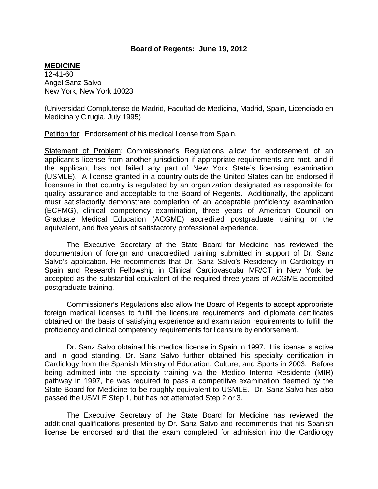#### **Board of Regents: June 19, 2012**

#### **MEDICINE**

12-41-60 Angel Sanz Salvo New York, New York 10023

(Universidad Complutense de Madrid, Facultad de Medicina, Madrid, Spain, Licenciado en Medicina y Cirugia, July 1995)

Petition for: Endorsement of his medical license from Spain.

Statement of Problem: Commissioner's Regulations allow for endorsement of an applicant's license from another jurisdiction if appropriate requirements are met, and if the applicant has not failed any part of New York State's licensing examination (USMLE). A license granted in a country outside the United States can be endorsed if licensure in that country is regulated by an organization designated as responsible for quality assurance and acceptable to the Board of Regents. Additionally, the applicant must satisfactorily demonstrate completion of an acceptable proficiency examination (ECFMG), clinical competency examination, three years of American Council on Graduate Medical Education (ACGME) accredited postgraduate training or the equivalent, and five years of satisfactory professional experience.

The Executive Secretary of the State Board for Medicine has reviewed the documentation of foreign and unaccredited training submitted in support of Dr. Sanz Salvo's application. He recommends that Dr. Sanz Salvo's Residency in Cardiology in Spain and Research Fellowship in Clinical Cardiovascular MR/CT in New York be accepted as the substantial equivalent of the required three years of ACGME-accredited postgraduate training.

Commissioner's Regulations also allow the Board of Regents to accept appropriate foreign medical licenses to fulfill the licensure requirements and diplomate certificates obtained on the basis of satisfying experience and examination requirements to fulfill the proficiency and clinical competency requirements for licensure by endorsement.

Dr. Sanz Salvo obtained his medical license in Spain in 1997. His license is active and in good standing. Dr. Sanz Salvo further obtained his specialty certification in Cardiology from the Spanish Ministry of Education, Culture, and Sports in 2003. Before being admitted into the specialty training via the Medico Interno Residente (MIR) pathway in 1997, he was required to pass a competitive examination deemed by the State Board for Medicine to be roughly equivalent to USMLE. Dr. Sanz Salvo has also passed the USMLE Step 1, but has not attempted Step 2 or 3.

The Executive Secretary of the State Board for Medicine has reviewed the additional qualifications presented by Dr. Sanz Salvo and recommends that his Spanish license be endorsed and that the exam completed for admission into the Cardiology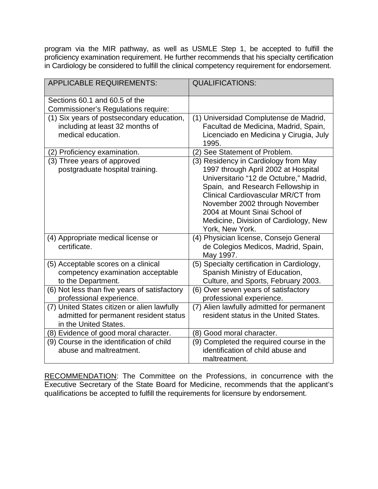program via the MIR pathway, as well as USMLE Step 1, be accepted to fulfill the proficiency examination requirement. He further recommends that his specialty certification in Cardiology be considered to fulfill the clinical competency requirement for endorsement.

| <b>APPLICABLE REQUIREMENTS:</b>                                                                                | <b>QUALIFICATIONS:</b>                                                                                                                                                                                                                                                                                                                 |
|----------------------------------------------------------------------------------------------------------------|----------------------------------------------------------------------------------------------------------------------------------------------------------------------------------------------------------------------------------------------------------------------------------------------------------------------------------------|
| Sections 60.1 and 60.5 of the<br><b>Commissioner's Regulations require:</b>                                    |                                                                                                                                                                                                                                                                                                                                        |
| (1) Six years of postsecondary education,<br>including at least 32 months of<br>medical education.             | (1) Universidad Complutense de Madrid,<br>Facultad de Medicina, Madrid, Spain,<br>Licenciado en Medicina y Cirugia, July<br>1995.                                                                                                                                                                                                      |
| (2) Proficiency examination.                                                                                   | (2) See Statement of Problem.                                                                                                                                                                                                                                                                                                          |
| (3) Three years of approved<br>postgraduate hospital training.                                                 | (3) Residency in Cardiology from May<br>1997 through April 2002 at Hospital<br>Universitario "12 de Octubre," Madrid,<br>Spain, and Research Fellowship in<br><b>Clinical Cardiovascular MR/CT from</b><br>November 2002 through November<br>2004 at Mount Sinai School of<br>Medicine, Division of Cardiology, New<br>York, New York. |
| (4) Appropriate medical license or<br>certificate.                                                             | (4) Physician license, Consejo General<br>de Colegios Medicos, Madrid, Spain,<br>May 1997.                                                                                                                                                                                                                                             |
| (5) Acceptable scores on a clinical<br>competency examination acceptable<br>to the Department.                 | (5) Specialty certification in Cardiology,<br>Spanish Ministry of Education,<br>Culture, and Sports, February 2003.                                                                                                                                                                                                                    |
| (6) Not less than five years of satisfactory<br>professional experience.                                       | (6) Over seven years of satisfactory<br>professional experience.                                                                                                                                                                                                                                                                       |
| (7) United States citizen or alien lawfully<br>admitted for permanent resident status<br>in the United States. | (7) Alien lawfully admitted for permanent<br>resident status in the United States.                                                                                                                                                                                                                                                     |
| (8) Evidence of good moral character.                                                                          | (8) Good moral character.                                                                                                                                                                                                                                                                                                              |
| (9) Course in the identification of child<br>abuse and maltreatment.                                           | (9) Completed the required course in the<br>identification of child abuse and<br>maltreatment.                                                                                                                                                                                                                                         |

RECOMMENDATION: The Committee on the Professions, in concurrence with the Executive Secretary of the State Board for Medicine, recommends that the applicant's qualifications be accepted to fulfill the requirements for licensure by endorsement.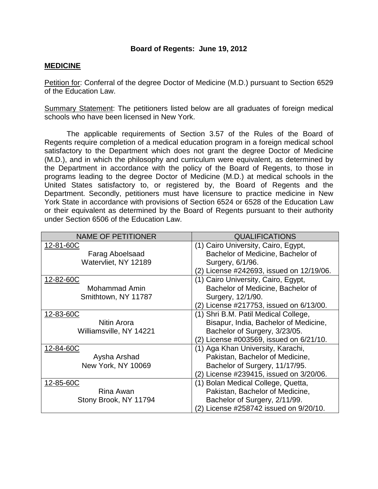### **Board of Regents: June 19, 2012**

### **MEDICINE**

Petition for: Conferral of the degree Doctor of Medicine (M.D.) pursuant to Section 6529 of the Education Law.

Summary Statement: The petitioners listed below are all graduates of foreign medical schools who have been licensed in New York.

The applicable requirements of Section 3.57 of the Rules of the Board of Regents require completion of a medical education program in a foreign medical school satisfactory to the Department which does not grant the degree Doctor of Medicine (M.D.), and in which the philosophy and curriculum were equivalent, as determined by the Department in accordance with the policy of the Board of Regents, to those in programs leading to the degree Doctor of Medicine (M.D.) at medical schools in the United States satisfactory to, or registered by, the Board of Regents and the Department. Secondly, petitioners must have licensure to practice medicine in New York State in accordance with provisions of Section 6524 or 6528 of the Education Law or their equivalent as determined by the Board of Regents pursuant to their authority under Section 6506 of the Education Law.

| <b>NAME OF PETITIONER</b> | <b>QUALIFICATIONS</b>                    |
|---------------------------|------------------------------------------|
| 12-81-60C                 | (1) Cairo University, Cairo, Egypt,      |
| <b>Farag Aboelsaad</b>    | Bachelor of Medicine, Bachelor of        |
| Watervliet, NY 12189      | Surgery, 6/1/96.                         |
|                           | (2) License #242693, issued on 12/19/06. |
| 12-82-60C                 | (1) Cairo University, Cairo, Egypt,      |
| Mohammad Amin             | Bachelor of Medicine, Bachelor of        |
| Smithtown, NY 11787       | Surgery, 12/1/90.                        |
|                           | (2) License #217753, issued on 6/13/00.  |
| 12-83-60C                 | (1) Shri B.M. Patil Medical College,     |
| Nitin Arora               | Bisapur, India, Bachelor of Medicine,    |
| Williamsville, NY 14221   | Bachelor of Surgery, 3/23/05.            |
|                           | (2) License #003569, issued on 6/21/10.  |
| 12-84-60C                 | (1) Aga Khan University, Karachi,        |
| Aysha Arshad              | Pakistan, Bachelor of Medicine,          |
| New York, NY 10069        | Bachelor of Surgery, 11/17/95.           |
|                           | License #239415, issued on 3/20/06.      |
| 12-85-60C                 | (1) Bolan Medical College, Quetta,       |
| Rina Awan                 | Pakistan, Bachelor of Medicine,          |
| Stony Brook, NY 11794     | Bachelor of Surgery, 2/11/99.            |
|                           | (2) License #258742 issued on 9/20/10.   |